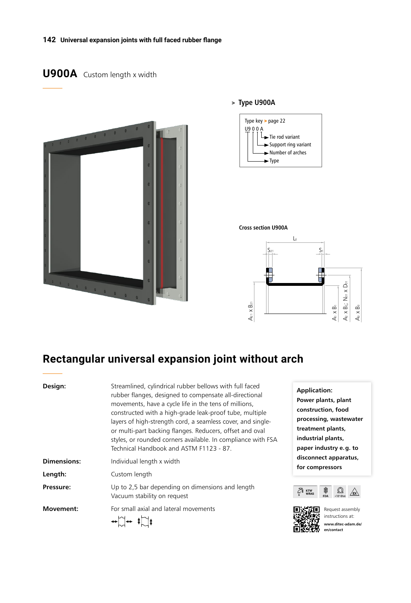#### **142 Universal expansion joints with full faced rubber flange**

## **U900A** Custom length x width



#### > **Type U900A**





# **Rectangular universal expansion joint without arch**

| Design:          | Streamlined, cylindrical rubber bellows with full faced<br>rubber flanges, designed to compensate all-directional<br>movements, have a cycle life in the tens of millions,<br>constructed with a high-grade leak-proof tube, multiple<br>layers of high-strength cord, a seamless cover, and single-<br>or multi-part backing flanges. Reducers, offset and oval<br>styles, or rounded corners available. In compliance with FSA<br>Technical Handbook and ASTM F1123 - 87. |  |  |
|------------------|-----------------------------------------------------------------------------------------------------------------------------------------------------------------------------------------------------------------------------------------------------------------------------------------------------------------------------------------------------------------------------------------------------------------------------------------------------------------------------|--|--|
| Dimensions:      | Individual length x width                                                                                                                                                                                                                                                                                                                                                                                                                                                   |  |  |
| Length:          | Custom length                                                                                                                                                                                                                                                                                                                                                                                                                                                               |  |  |
| Pressure:        | Up to 2,5 bar depending on dimensions and length<br>Vacuum stability on request                                                                                                                                                                                                                                                                                                                                                                                             |  |  |
| <b>Movement:</b> | For small axial and lateral movements                                                                                                                                                                                                                                                                                                                                                                                                                                       |  |  |

**Application: Power plants, plant construction, food processing, wastewater**  tment plants, **industrial plants, paper industry e.g. to disconnect apparatus, for compressors**





Request assembly instructions at: **www.ditec-adam.de/ en/contact**